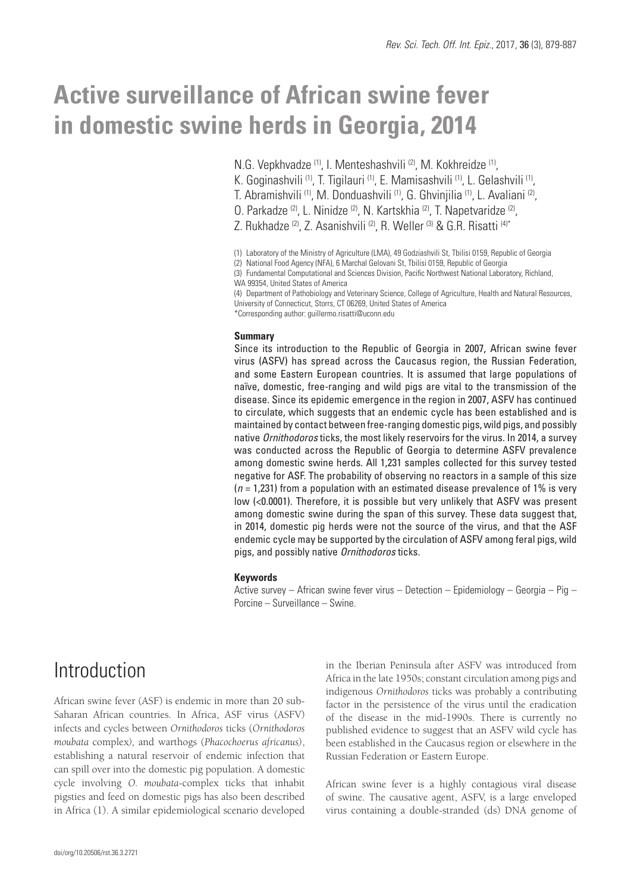# **Active surveillance of African swine fever in domestic swine herds in Georgia, 2014**

N.G. Vepkhvadze <sup>(1)</sup>, I. Menteshashvili <sup>(2)</sup>, M. Kokhreidze <sup>(1)</sup>,

- K. Goginashvili <sup>(1)</sup>, T. Tigilauri <sup>(1)</sup>, E. Mamisashvili <sup>(1)</sup>, L. Gelashvili <sup>(1)</sup>,
- T. Abramishvili (1), M. Donduashvili (1), G. Ghvinjilia (1), L. Avaliani (2),
- O. Parkadze (2), L. Ninidze (2), N. Kartskhia (2), T. Napetvaridze (2),
- Z. Rukhadze<sup>(2)</sup>, Z. Asanishvili<sup>(2)</sup>, R. Weller<sup>(3)</sup> & G.R. Risatti<sup>(4)\*</sup>

(1) Laboratory of the Ministry of Agriculture (LMA), 49 Godziashvili St, Tbilisi 0159, Republic of Georgia

(4) Department of Pathobiology and Veterinary Science, College of Agriculture, Health and Natural Resources, University of Connecticut, Storrs, CT 06269, United States of America

\*Corresponding author: guillermo.risatti@uconn.edu

### **Summary**

Since its introduction to the Republic of Georgia in 2007, African swine fever virus (ASFV) has spread across the Caucasus region, the Russian Federation, and some Eastern European countries. It is assumed that large populations of naïve, domestic, free-ranging and wild pigs are vital to the transmission of the disease. Since its epidemic emergence in the region in 2007, ASFV has continued to circulate, which suggests that an endemic cycle has been established and is maintained by contact between free-ranging domestic pigs, wild pigs, and possibly native *Ornithodoros* ticks, the most likely reservoirs for the virus. In 2014, a survey was conducted across the Republic of Georgia to determine ASFV prevalence among domestic swine herds. All 1,231 samples collected for this survey tested negative for ASF. The probability of observing no reactors in a sample of this size (*n* = 1,231) from a population with an estimated disease prevalence of 1% is very low (<0.0001). Therefore, it is possible but very unlikely that ASFV was present among domestic swine during the span of this survey. These data suggest that, in 2014, domestic pig herds were not the source of the virus, and that the ASF endemic cycle may be supported by the circulation of ASFV among feral pigs, wild pigs, and possibly native *Ornithodoros* ticks.

### **Keywords**

Active survey – African swine fever virus – Detection – Epidemiology – Georgia – Pig – Porcine – Surveillance – Swine.

# Introduction

African swine fever (ASF) is endemic in more than 20 sub-Saharan African countries. In Africa, ASF virus (ASFV) infects and cycles between *Ornithodoros* ticks (*Ornithodoros moubata* complex*),* and warthogs (*Phacochoerus africanus)*, establishing a natural reservoir of endemic infection that can spill over into the domestic pig population. A domestic cycle involving *O. moubata-*complex ticks that inhabit pigsties and feed on domestic pigs has also been described in Africa (1). A similar epidemiological scenario developed

in the Iberian Peninsula after ASFV was introduced from Africa in the late 1950s; constant circulation among pigs and indigenous *Ornithodoros* ticks was probably a contributing factor in the persistence of the virus until the eradication of the disease in the mid-1990s. There is currently no published evidence to suggest that an ASFV wild cycle has been established in the Caucasus region or elsewhere in the Russian Federation or Eastern Europe.

African swine fever is a highly contagious viral disease of swine. The causative agent, ASFV, is a large enveloped virus containing a double-stranded (ds) DNA genome of

<sup>(2)</sup> National Food Agency (NFA), 6 Marchal Gelovani St, Tbilisi 0159, Republic of Georgia

<sup>(3)</sup> Fundamental Computational and Sciences Division, Pacific Northwest National Laboratory, Richland, WA 99354, United States of America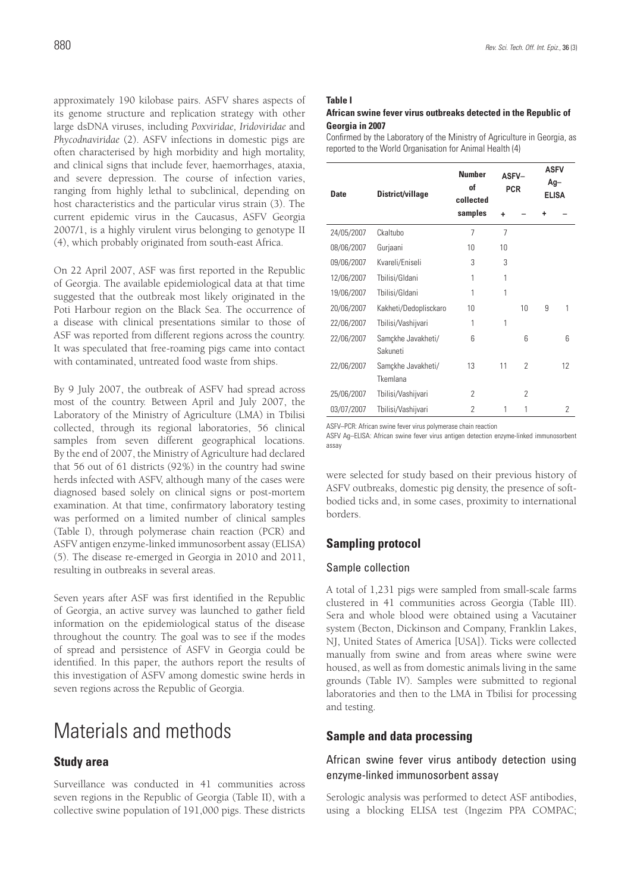approximately 190 kilobase pairs. ASFV shares aspects of its genome structure and replication strategy with other large dsDNA viruses, including *Poxviridae, Iridoviridae* and *Phycodnaviridae* (2). ASFV infections in domestic pigs are often characterised by high morbidity and high mortality, and clinical signs that include fever, haemorrhages, ataxia, and severe depression. The course of infection varies, ranging from highly lethal to subclinical, depending on host characteristics and the particular virus strain (3). The current epidemic virus in the Caucasus, ASFV Georgia 2007/1, is a highly virulent virus belonging to genotype II (4), which probably originated from south-east Africa.

On 22 April 2007, ASF was first reported in the Republic of Georgia. The available epidemiological data at that time suggested that the outbreak most likely originated in the Poti Harbour region on the Black Sea. The occurrence of a disease with clinical presentations similar to those of ASF was reported from different regions across the country. It was speculated that free-roaming pigs came into contact with contaminated, untreated food waste from ships.

By 9 July 2007, the outbreak of ASFV had spread across most of the country. Between April and July 2007, the Laboratory of the Ministry of Agriculture (LMA) in Tbilisi collected, through its regional laboratories, 56 clinical samples from seven different geographical locations. By the end of 2007, the Ministry of Agriculture had declared that 56 out of 61 districts (92%) in the country had swine herds infected with ASFV, although many of the cases were diagnosed based solely on clinical signs or post-mortem examination. At that time, confirmatory laboratory testing was performed on a limited number of clinical samples (Table I), through polymerase chain reaction (PCR) and ASFV antigen enzyme-linked immunosorbent assay (ELISA) (5). The disease re-emerged in Georgia in 2010 and 2011, resulting in outbreaks in several areas.

Seven years after ASF was first identified in the Republic of Georgia, an active survey was launched to gather field information on the epidemiological status of the disease throughout the country. The goal was to see if the modes of spread and persistence of ASFV in Georgia could be identified. In this paper, the authors report the results of this investigation of ASFV among domestic swine herds in seven regions across the Republic of Georgia.

# Materials and methods

# **Study area**

Surveillance was conducted in 41 communities across seven regions in the Republic of Georgia (Table II), with a collective swine population of 191,000 pigs. These districts

### **Table I**

#### **African swine fever virus outbreaks detected in the Republic of Georgia in 2007**

Confirmed by the Laboratory of the Ministry of Agriculture in Georgia, as reported to the World Organisation for Animal Health (4)

| <b>Date</b> | District/village               | <b>Number</b><br>of<br>collected | ASFV-<br><b>PCR</b> |                | <b>ASFV</b><br>Ag-<br><b>ELISA</b> |    |
|-------------|--------------------------------|----------------------------------|---------------------|----------------|------------------------------------|----|
|             |                                | samples                          | ÷                   |                |                                    |    |
| 24/05/2007  | Ckaltubo                       | 7                                | $\overline{7}$      |                |                                    |    |
| 08/06/2007  | Gurjaani                       | 10                               | 10                  |                |                                    |    |
| 09/06/2007  | Kvareli/Eniseli                | 3                                | 3                   |                |                                    |    |
| 12/06/2007  | Tbilisi/Gldani                 | 1                                | 1                   |                |                                    |    |
| 19/06/2007  | Tbilisi/Gldani                 | 1                                | 1                   |                |                                    |    |
| 20/06/2007  | Kakheti/Dedoplisckaro          | 10                               |                     | 10             | 9                                  | 1  |
| 22/06/2007  | Tbilisi/Vashijvari             | 1                                | 1                   |                |                                    |    |
| 22/06/2007  | Samçkhe Javakheti/<br>Sakuneti | 6                                |                     | 6              |                                    | 6  |
| 22/06/2007  | Samçkhe Javakheti/<br>Tkemlana | 13                               | 11                  | $\overline{2}$ |                                    | 12 |
| 25/06/2007  | Tbilisi/Vashijvari             | 2                                |                     | 2              |                                    |    |
| 03/07/2007  | Tbilisi/Vashijvari             | $\overline{2}$                   | 1                   | 1              |                                    | 2  |

ASFV–PCR: African swine fever virus polymerase chain reaction

ASFV Ag–ELISA: African swine fever virus antigen detection enzyme-linked immunosorbent assay

were selected for study based on their previous history of ASFV outbreaks, domestic pig density, the presence of softbodied ticks and, in some cases, proximity to international borders.

# **Sampling protocol**

### Sample collection

A total of 1,231 pigs were sampled from small-scale farms clustered in 41 communities across Georgia (Table III). Sera and whole blood were obtained using a Vacutainer system (Becton, Dickinson and Company, Franklin Lakes, NJ, United States of America [USA]). Ticks were collected manually from swine and from areas where swine were housed, as well as from domestic animals living in the same grounds (Table IV). Samples were submitted to regional laboratories and then to the LMA in Tbilisi for processing and testing.

### **Sample and data processing**

### African swine fever virus antibody detection using enzyme-linked immunosorbent assay

Serologic analysis was performed to detect ASF antibodies, using a blocking ELISA test (Ingezim PPA COMPAC;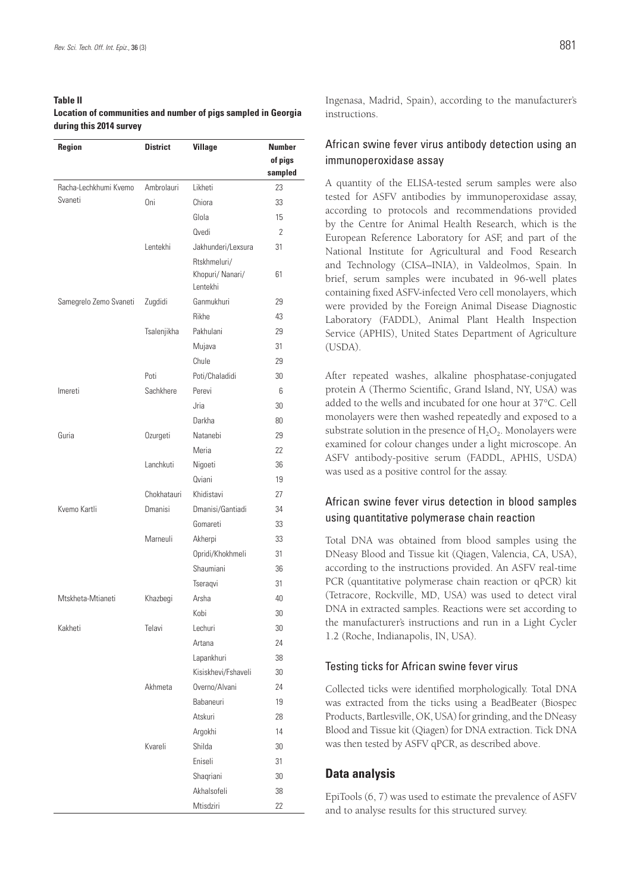### **Table II Location of communities and number of pigs sampled in Georgia during this 2014 survey**

| <b>Region</b>          | <b>District</b> | <b>Village</b>      | <b>Number</b>  |  |
|------------------------|-----------------|---------------------|----------------|--|
|                        |                 |                     | of pigs        |  |
|                        |                 |                     | sampled        |  |
| Racha-Lechkhumi Kvemo  | Ambrolauri      | Likheti             | 23             |  |
| Svaneti                | Oni             | Chiora              | 33             |  |
|                        |                 | Glola               | 15             |  |
|                        |                 | Ovedi               | $\overline{2}$ |  |
|                        | Lentekhi        | Jakhunderi/Lexsura  | 31             |  |
|                        |                 | Rtskhmeluri/        |                |  |
|                        |                 | Khopuri/ Nanari/    | 61             |  |
|                        |                 | Lentekhi            |                |  |
| Samegrelo Zemo Svaneti | Zugdidi         | Ganmukhuri          | 29             |  |
|                        |                 | Rikhe               | 43             |  |
|                        | Tsalenjikha     | Pakhulani           | 29             |  |
|                        |                 | Mujava              | 31             |  |
|                        |                 | Chule               | 29             |  |
|                        | Poti            | Poti/Chaladidi      | 30             |  |
| Imereti                | Sachkhere       | Perevi              | 6              |  |
|                        |                 | Jria                | 30             |  |
|                        |                 | Darkha              | 80             |  |
| Guria                  | Ozurgeti        | Natanebi            | 29             |  |
|                        |                 | Meria               | 22             |  |
|                        | Lanchkuti       | Nigoeti             | 36             |  |
|                        |                 | Oviani              | 19             |  |
|                        | Chokhatauri     | Khidistavi          | 27             |  |
| Kvemo Kartli           | <b>Dmanisi</b>  | Dmanisi/Gantiadi    | 34             |  |
|                        |                 | Gomareti            | 33             |  |
|                        | Marneuli        | Akherpi             | 33             |  |
|                        |                 | Opridi/Khokhmeli    | 31             |  |
|                        |                 | Shaumiani           | 36             |  |
|                        |                 | Tseragvi            | 31             |  |
| Mtskheta-Mtianeti      | Khazbegi        | Arsha               | 40             |  |
|                        |                 | Kobi                | $30\,$         |  |
| Kakheti                | Telavi          | Lechuri             | 30             |  |
|                        |                 | Artana              | 24             |  |
|                        |                 | Lapankhuri          | 38             |  |
|                        |                 | Kisiskhevi/Fshaveli | 30             |  |
|                        | Akhmeta         | Overno/Alvani       | 24             |  |
|                        |                 | Babaneuri           | 19             |  |
|                        |                 | Atskuri             | 28             |  |
|                        |                 | Argokhi             | 14             |  |
|                        | Kvareli         | Shilda              | 30             |  |
|                        |                 | Eniseli             | 31             |  |
|                        |                 | Shaqriani           | 30             |  |
|                        |                 | Akhalsofeli         | 38             |  |
|                        |                 | Mtisdziri           | 22             |  |

Ingenasa, Madrid, Spain), according to the manufacturer's instructions.

### African swine fever virus antibody detection using an immunoperoxidase assay

A quantity of the ELISA-tested serum samples were also tested for ASFV antibodies by immunoperoxidase assay, according to protocols and recommendations provided by the Centre for Animal Health Research, which is the European Reference Laboratory for ASF, and part of the National Institute for Agricultural and Food Research and Technology (CISA–INIA), in Valdeolmos, Spain. In brief, serum samples were incubated in 96-well plates containing fixed ASFV-infected Vero cell monolayers, which were provided by the Foreign Animal Disease Diagnostic Laboratory (FADDL), Animal Plant Health Inspection Service (APHIS), United States Department of Agriculture (USDA).

After repeated washes, alkaline phosphatase-conjugated protein A (Thermo Scientific, Grand Island, NY, USA) was added to the wells and incubated for one hour at 37°C. Cell monolayers were then washed repeatedly and exposed to a substrate solution in the presence of  $H_2O_2$ . Monolayers were examined for colour changes under a light microscope. An ASFV antibody-positive serum (FADDL, APHIS, USDA) was used as a positive control for the assay.

# African swine fever virus detection in blood samples using quantitative polymerase chain reaction

Total DNA was obtained from blood samples using the DNeasy Blood and Tissue kit (Qiagen, Valencia, CA, USA), according to the instructions provided. An ASFV real-time PCR (quantitative polymerase chain reaction or qPCR) kit (Tetracore, Rockville, MD, USA) was used to detect viral DNA in extracted samples. Reactions were set according to the manufacturer's instructions and run in a Light Cycler 1.2 (Roche, Indianapolis, IN, USA).

### Testing ticks for African swine fever virus

Collected ticks were identified morphologically. Total DNA was extracted from the ticks using a BeadBeater (Biospec Products, Bartlesville, OK, USA) for grinding, and the DNeasy Blood and Tissue kit (Qiagen) for DNA extraction. Tick DNA was then tested by ASFV qPCR, as described above.

# **Data analysis**

EpiTools (6, 7) was used to estimate the prevalence of ASFV and to analyse results for this structured survey.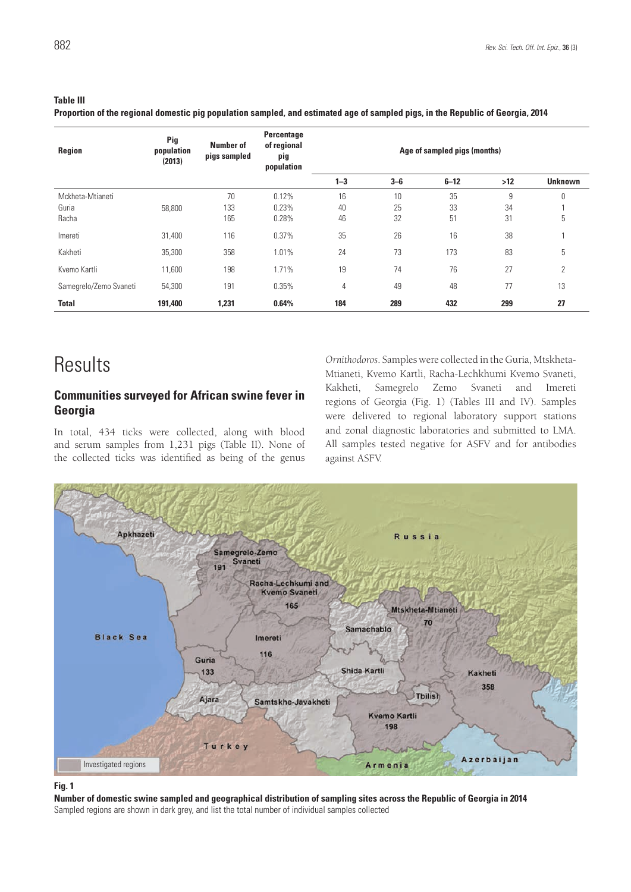### **Table III**

**Proportion of the regional domestic pig population sampled, and estimated age of sampled pigs, in the Republic of Georgia, 2014**

| Region                 | Pig<br>population<br>(2013) | <b>Number of</b><br>pigs sampled | Percentage<br>of regional<br>pig<br>population | Age of sampled pigs (months) |       |          |       |                |
|------------------------|-----------------------------|----------------------------------|------------------------------------------------|------------------------------|-------|----------|-------|----------------|
|                        |                             |                                  |                                                | $1 - 3$                      | $3-6$ | $6 - 12$ | $>12$ | <b>Unknown</b> |
| Mckheta-Mtianeti       |                             | 70                               | 0.12%                                          | 16                           | 10    | 35       | 9     | 0              |
| Guria                  | 58,800                      | 133                              | 0.23%                                          | 40                           | 25    | 33       | 34    |                |
| Racha                  |                             | 165                              | 0.28%                                          | 46                           | 32    | 51       | 31    | 5              |
| Imereti                | 31,400                      | 116                              | 0.37%                                          | 35                           | 26    | 16       | 38    |                |
| Kakheti                | 35,300                      | 358                              | 1.01%                                          | 24                           | 73    | 173      | 83    | 5              |
| Kvemo Kartli           | 11,600                      | 198                              | 1.71%                                          | 19                           | 74    | 76       | 27    | 2              |
| Samegrelo/Zemo Svaneti | 54,300                      | 191                              | 0.35%                                          | 4                            | 49    | 48       | 77    | 13             |
| <b>Total</b>           | 191,400                     | 1,231                            | 0.64%                                          | 184                          | 289   | 432      | 299   | 27             |

# Results

### **Communities surveyed for African swine fever in Georgia**

In total, 434 ticks were collected, along with blood and serum samples from 1,231 pigs (Table II). None of the collected ticks was identified as being of the genus

*Ornithodoros*. Samples were collected in the Guria, Mtskheta-Mtianeti, Kvemo Kartli, Racha-Lechkhumi Kvemo Svaneti, Kakheti, Samegrelo Zemo Svaneti and Imereti regions of Georgia (Fig. 1) (Tables III and IV). Samples were delivered to regional laboratory support stations and zonal diagnostic laboratories and submitted to LMA. All samples tested negative for ASFV and for antibodies against ASFV.



#### **Fig. 1**

**Number of domestic swine sampled and geographical distribution of sampling sites across the Republic of Georgia in 2014** Sampled regions are shown in dark grey, and list the total number of individual samples collected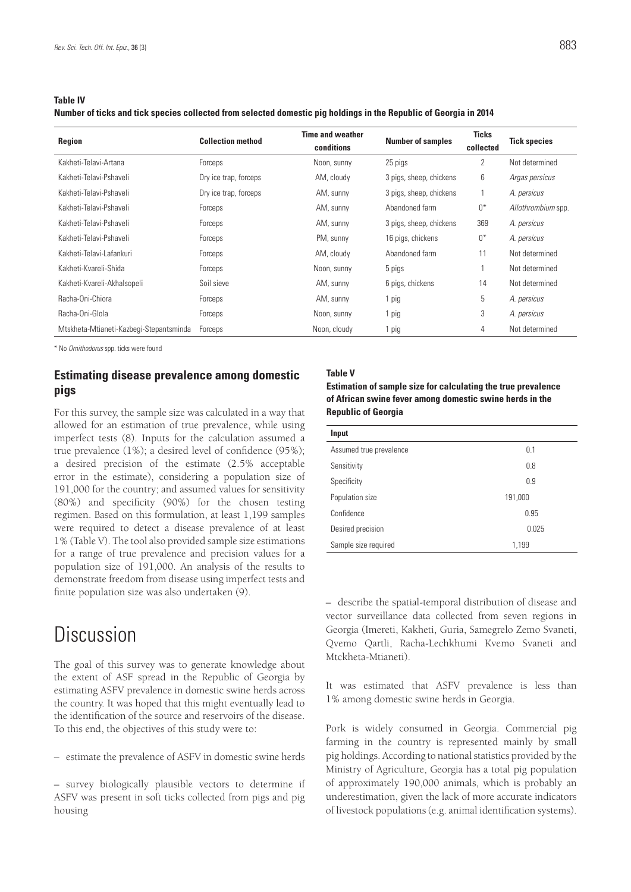**Table IV**

**Number of ticks and tick species collected from selected domestic pig holdings in the Republic of Georgia in 2014**

| <b>Region</b>                           | <b>Collection method</b> | <b>Time and weather</b><br>conditions | <b>Number of samples</b> | <b>Ticks</b><br>collected | <b>Tick species</b> |
|-----------------------------------------|--------------------------|---------------------------------------|--------------------------|---------------------------|---------------------|
| Kakheti-Telavi-Artana                   | Forceps                  | Noon, sunny                           | 25 pigs                  | 2                         | Not determined      |
| Kakheti-Telavi-Pshaveli                 | Dry ice trap, forceps    | AM, cloudy                            | 3 pigs, sheep, chickens  | 6                         | Argas persicus      |
| Kakheti-Telavi-Pshaveli                 | Dry ice trap, forceps    | AM, sunny                             | 3 pigs, sheep, chickens  |                           | A. persicus         |
| Kakheti-Telavi-Pshaveli                 | Forceps                  | AM, sunny                             | Abandoned farm           | $0^*$                     | Allothrombium spp.  |
| Kakheti-Telavi-Pshaveli                 | Forceps                  | AM, sunny                             | 3 pigs, sheep, chickens  | 369                       | A. persicus         |
| Kakheti-Telavi-Pshaveli                 | Forceps                  | PM, sunny                             | 16 pigs, chickens        | $0^*$                     | A. persicus         |
| Kakheti-Telavi-Lafankuri                | Forceps                  | AM, cloudy                            | Abandoned farm           | 11                        | Not determined      |
| Kakheti-Kvareli-Shida                   | Forceps                  | Noon, sunny                           | 5 pigs                   | 1                         | Not determined      |
| Kakheti-Kvareli-Akhalsopeli             | Soil sieve               | AM, sunny                             | 6 pigs, chickens         | 14                        | Not determined      |
| Racha-Oni-Chiora                        | Forceps                  | AM, sunny                             | 1 pig                    | 5                         | A. persicus         |
| Racha-Oni-Glola                         | Forceps                  | Noon, sunny                           | 1 pig                    | 3                         | A. persicus         |
| Mtskheta-Mtianeti-Kazbegi-Stepantsminda | Forceps                  | Noon, cloudy                          | 1 pig                    | 4                         | Not determined      |

\* No *Ornithodorus* spp. ticks were found

### **Estimating disease prevalence among domestic pigs**

For this survey, the sample size was calculated in a way that allowed for an estimation of true prevalence, while using imperfect tests (8). Inputs for the calculation assumed a true prevalence (1%); a desired level of confidence (95%); a desired precision of the estimate (2.5% acceptable error in the estimate), considering a population size of 191,000 for the country; and assumed values for sensitivity (80%) and specificity (90%) for the chosen testing regimen. Based on this formulation, at least 1,199 samples were required to detect a disease prevalence of at least 1% (Table V). The tool also provided sample size estimations for a range of true prevalence and precision values for a population size of 191,000. An analysis of the results to demonstrate freedom from disease using imperfect tests and finite population size was also undertaken (9).

# Discussion

The goal of this survey was to generate knowledge about the extent of ASF spread in the Republic of Georgia by estimating ASFV prevalence in domestic swine herds across the country. It was hoped that this might eventually lead to the identification of the source and reservoirs of the disease. To this end, the objectives of this study were to:

– estimate the prevalence of ASFV in domestic swine herds

– survey biologically plausible vectors to determine if ASFV was present in soft ticks collected from pigs and pig housing

#### **Table V**

**Estimation of sample size for calculating the true prevalence of African swine fever among domestic swine herds in the Republic of Georgia**

| Input                   |         |
|-------------------------|---------|
| Assumed true prevalence | 0.1     |
| Sensitivity             | 0.8     |
| Specificity             | 0.9     |
| Population size         | 191,000 |
| Confidence              | 0.95    |
| Desired precision       | 0.025   |
| Sample size required    | 1,199   |

– describe the spatial-temporal distribution of disease and vector surveillance data collected from seven regions in Georgia (Imereti, Kakheti, Guria, Samegrelo Zemo Svaneti, Qvemo Qartli, Racha-Lechkhumi Kvemo Svaneti and Mtckheta-Mtianeti).

It was estimated that ASFV prevalence is less than 1% among domestic swine herds in Georgia.

Pork is widely consumed in Georgia. Commercial pig farming in the country is represented mainly by small pig holdings. According to national statistics provided by the Ministry of Agriculture, Georgia has a total pig population of approximately 190,000 animals, which is probably an underestimation, given the lack of more accurate indicators of livestock populations (e.g. animal identification systems).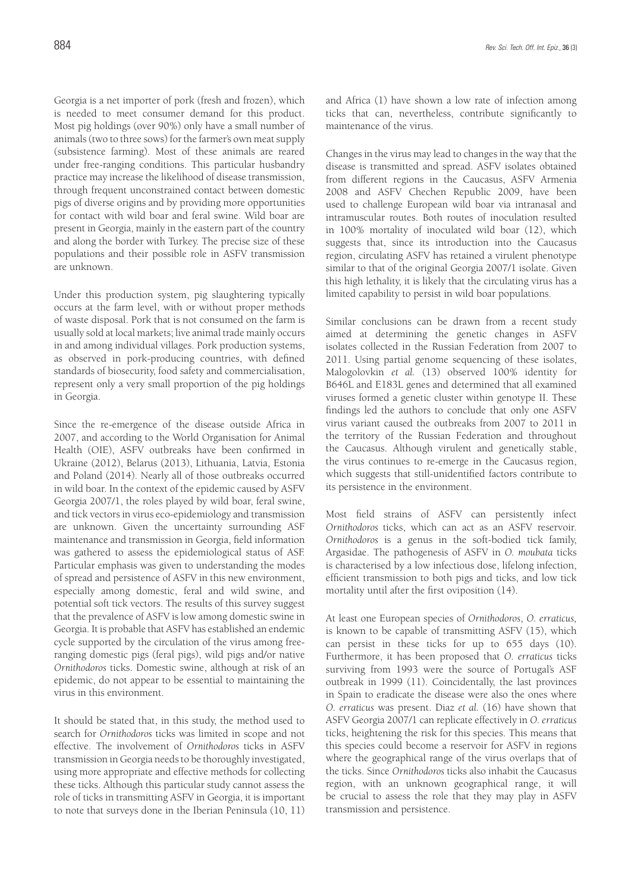Georgia is a net importer of pork (fresh and frozen), which is needed to meet consumer demand for this product. Most pig holdings (over 90%) only have a small number of animals (two to three sows) for the farmer's own meat supply (subsistence farming). Most of these animals are reared under free-ranging conditions. This particular husbandry practice may increase the likelihood of disease transmission, through frequent unconstrained contact between domestic pigs of diverse origins and by providing more opportunities for contact with wild boar and feral swine. Wild boar are present in Georgia, mainly in the eastern part of the country and along the border with Turkey. The precise size of these populations and their possible role in ASFV transmission are unknown.

Under this production system, pig slaughtering typically occurs at the farm level, with or without proper methods of waste disposal. Pork that is not consumed on the farm is usually sold at local markets; live animal trade mainly occurs in and among individual villages. Pork production systems, as observed in pork-producing countries, with defined standards of biosecurity, food safety and commercialisation, represent only a very small proportion of the pig holdings in Georgia.

Since the re-emergence of the disease outside Africa in 2007, and according to the World Organisation for Animal Health (OIE), ASFV outbreaks have been confirmed in Ukraine (2012), Belarus (2013), Lithuania, Latvia, Estonia and Poland (2014). Nearly all of those outbreaks occurred in wild boar. In the context of the epidemic caused by ASFV Georgia 2007/1, the roles played by wild boar, feral swine, and tick vectors in virus eco-epidemiology and transmission are unknown. Given the uncertainty surrounding ASF maintenance and transmission in Georgia, field information was gathered to assess the epidemiological status of ASF. Particular emphasis was given to understanding the modes of spread and persistence of ASFV in this new environment, especially among domestic, feral and wild swine, and potential soft tick vectors. The results of this survey suggest that the prevalence of ASFV is low among domestic swine in Georgia. It is probable that ASFV has established an endemic cycle supported by the circulation of the virus among freeranging domestic pigs (feral pigs), wild pigs and/or native *Ornithodoros* ticks. Domestic swine, although at risk of an epidemic, do not appear to be essential to maintaining the virus in this environment.

It should be stated that, in this study, the method used to search for *Ornithodoros* ticks was limited in scope and not effective. The involvement of *Ornithodoros* ticks in ASFV transmission in Georgia needs to be thoroughly investigated, using more appropriate and effective methods for collecting these ticks. Although this particular study cannot assess the role of ticks in transmitting ASFV in Georgia, it is important to note that surveys done in the Iberian Peninsula (10, 11)

and Africa (1) have shown a low rate of infection among ticks that can, nevertheless, contribute significantly to maintenance of the virus.

Changes in the virus may lead to changes in the way that the disease is transmitted and spread. ASFV isolates obtained from different regions in the Caucasus, ASFV Armenia 2008 and ASFV Chechen Republic 2009, have been used to challenge European wild boar via intranasal and intramuscular routes. Both routes of inoculation resulted in 100% mortality of inoculated wild boar (12), which suggests that, since its introduction into the Caucasus region, circulating ASFV has retained a virulent phenotype similar to that of the original Georgia 2007/1 isolate. Given this high lethality, it is likely that the circulating virus has a limited capability to persist in wild boar populations.

Similar conclusions can be drawn from a recent study aimed at determining the genetic changes in ASFV isolates collected in the Russian Federation from 2007 to 2011. Using partial genome sequencing of these isolates, Malogolovkin *et al.* (13) observed 100% identity for B646L and E183L genes and determined that all examined viruses formed a genetic cluster within genotype II. These findings led the authors to conclude that only one ASFV virus variant caused the outbreaks from 2007 to 2011 in the territory of the Russian Federation and throughout the Caucasus. Although virulent and genetically stable, the virus continues to re-emerge in the Caucasus region, which suggests that still-unidentified factors contribute to its persistence in the environment.

Most field strains of ASFV can persistently infect *Ornithodoros* ticks, which can act as an ASFV reservoir. *Ornithodoros* is a genus in the soft-bodied tick family, Argasidae. The pathogenesis of ASFV in *O. moubata* ticks is characterised by a low infectious dose, lifelong infection, efficient transmission to both pigs and ticks, and low tick mortality until after the first oviposition (14).

At least one European species of *Ornithodoros*, *O. erraticus,* is known to be capable of transmitting ASFV (15), which can persist in these ticks for up to 655 days (10). Furthermore, it has been proposed that *O. erraticus* ticks surviving from 1993 were the source of Portugal's ASF outbreak in 1999 (11). Coincidentally, the last provinces in Spain to eradicate the disease were also the ones where *O. erraticus* was present. Diaz *et al.* (16) have shown that ASFV Georgia 2007/1 can replicate effectively in *O. erraticus*  ticks, heightening the risk for this species. This means that this species could become a reservoir for ASFV in regions where the geographical range of the virus overlaps that of the ticks. Since *Ornithodoros* ticks also inhabit the Caucasus region, with an unknown geographical range, it will be crucial to assess the role that they may play in ASFV transmission and persistence.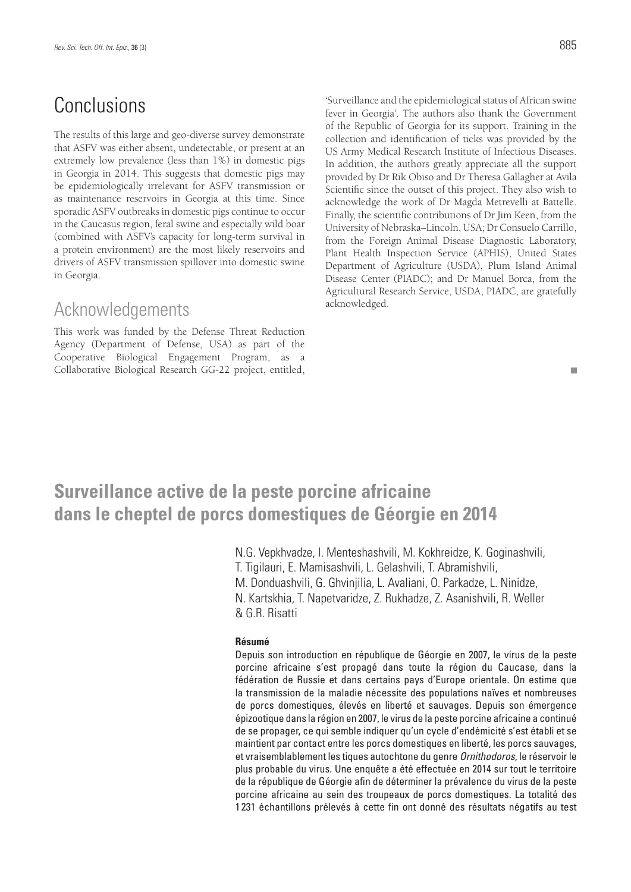# **Conclusions**

The results of this large and geo-diverse survey demonstrate that ASFV was either absent, undetectable, or present at an extremely low prevalence (less than 1%) in domestic pigs in Georgia in 2014. This suggests that domestic pigs may be epidemiologically irrelevant for ASFV transmission or as maintenance reservoirs in Georgia at this time. Since sporadic ASFV outbreaks in domestic pigs continue to occur in the Caucasus region, feral swine and especially wild boar (combined with ASFV's capacity for long-term survival in a protein environment) are the most likely reservoirs and drivers of ASFV transmission spillover into domestic swine in Georgia.

# Acknowledgements

This work was funded by the Defense Threat Reduction Agency (Department of Defense*,* USA) as part of the Cooperative Biological Engagement Program, as a Collaborative Biological Research GG-22 project, entitled,

'Surveillance and the epidemiological status of African swine fever in Georgia'. The authors also thank the Government of the Republic of Georgia for its support. Training in the collection and identification of ticks was provided by the US Army Medical Research Institute of Infectious Diseases. In addition, the authors greatly appreciate all the support provided by Dr Rik Obiso and Dr Theresa Gallagher at Avila Scientific since the outset of this project. They also wish to acknowledge the work of Dr Magda Metrevelli at Battelle. Finally, the scientific contributions of Dr Jim Keen, from the University of Nebraska–Lincoln, USA; Dr Consuelo Carrillo, from the Foreign Animal Disease Diagnostic Laboratory, Plant Health Inspection Service (APHIS), United States Department of Agriculture (USDA), Plum Island Animal Disease Center (PIADC); and Dr Manuel Borca, from the Agricultural Research Service, USDA, PIADC, are gratefully acknowledged.

#### п

# **Surveillance active de la peste porcine africaine dans le cheptel de porcs domestiques de Géorgie en 2014**

N.G. Vepkhvadze, I. Menteshashvili, M. Kokhreidze, K. Goginashvili, T. Tigilauri, E. Mamisashvili, L. Gelashvili, T. Abramishvili, M. Donduashvili, G. Ghvinjilia, L. Avaliani, O. Parkadze, L. Ninidze, N. Kartskhia, T. Napetvaridze, Z. Rukhadze, Z. Asanishvili, R. Weller & G.R. Risatti

#### **Résumé**

Depuis son introduction en république de Géorgie en 2007, le virus de la peste porcine africaine s'est propagé dans toute la région du Caucase, dans la fédération de Russie et dans certains pays d'Europe orientale. On estime que la transmission de la maladie nécessite des populations naïves et nombreuses de porcs domestiques, élevés en liberté et sauvages. Depuis son émergence épizootique dans la région en 2007, le virus de la peste porcine africaine a continué de se propager, ce qui semble indiquer qu'un cycle d'endémicité s'est établi et se maintient par contact entre les porcs domestiques en liberté, les porcs sauvages, et vraisemblablement les tiques autochtone du genre *Ornithodoros*, le réservoir le plus probable du virus. Une enquête a été effectuée en 2014 sur tout le territoire de la république de Géorgie afin de déterminer la prévalence du virus de la peste porcine africaine au sein des troupeaux de porcs domestiques. La totalité des 1 231 échantillons prélevés à cette fin ont donné des résultats négatifs au test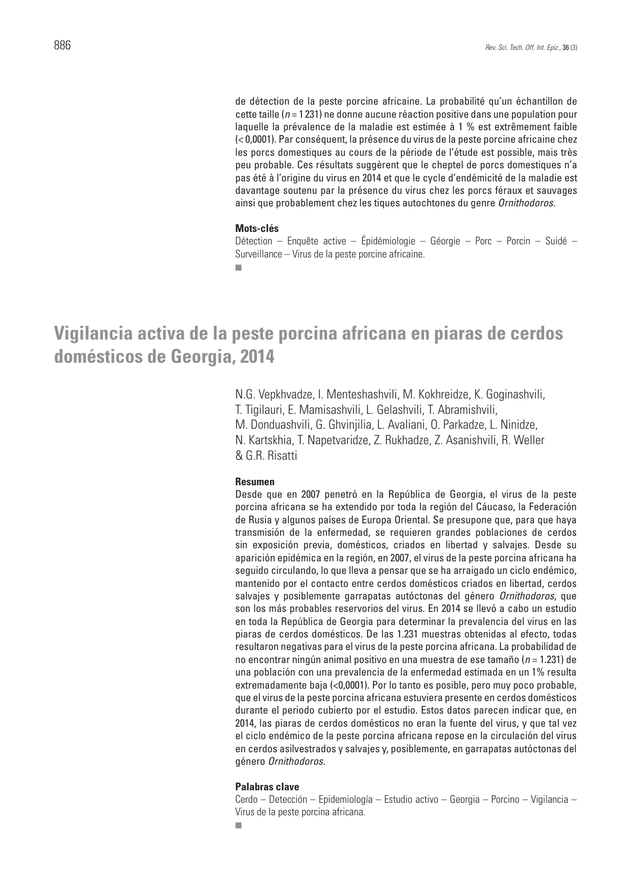de détection de la peste porcine africaine. La probabilité qu'un échantillon de cette taille (*n* = 1 231) ne donne aucune réaction positive dans une population pour laquelle la prévalence de la maladie est estimée à 1 % est extrêmement faible (< 0,0001). Par conséquent, la présence du virus de la peste porcine africaine chez les porcs domestiques au cours de la période de l'étude est possible, mais très peu probable. Ces résultats suggèrent que le cheptel de porcs domestiques n'a pas été à l'origine du virus en 2014 et que le cycle d'endémicité de la maladie est davantage soutenu par la présence du virus chez les porcs féraux et sauvages ainsi que probablement chez les tiques autochtones du genre *Ornithodoros.*

#### **Mots-clés**

Détection – Enquête active – Épidémiologie – Géorgie – Porc – Porcin – Suidé – Surveillance – Virus de la peste porcine africaine.

**Vigilancia activa de la peste porcina africana en piaras de cerdos domésticos de Georgia, 2014**

> N.G. Vepkhvadze, I. Menteshashvili, M. Kokhreidze, K. Goginashvili, T. Tigilauri, E. Mamisashvili, L. Gelashvili, T. Abramishvili, M. Donduashvili, G. Ghvinjilia, L. Avaliani, O. Parkadze, L. Ninidze, N. Kartskhia, T. Napetvaridze, Z. Rukhadze, Z. Asanishvili, R. Weller & G.R. Risatti

### **Resumen**

Desde que en 2007 penetró en la República de Georgia, el virus de la peste porcina africana se ha extendido por toda la región del Cáucaso, la Federación de Rusia y algunos países de Europa Oriental. Se presupone que, para que haya transmisión de la enfermedad, se requieren grandes poblaciones de cerdos sin exposición previa, domésticos, criados en libertad y salvajes. Desde su aparición epidémica en la región, en 2007, el virus de la peste porcina africana ha seguido circulando, lo que lleva a pensar que se ha arraigado un ciclo endémico, mantenido por el contacto entre cerdos domésticos criados en libertad, cerdos salvajes y posiblemente garrapatas autóctonas del género *Ornithodoros*, que son los más probables reservorios del virus. En 2014 se llevó a cabo un estudio en toda la República de Georgia para determinar la prevalencia del virus en las piaras de cerdos domésticos. De las 1.231 muestras obtenidas al efecto, todas resultaron negativas para el virus de la peste porcina africana. La probabilidad de no encontrar ningún animal positivo en una muestra de ese tamaño (*n* = 1.231) de una población con una prevalencia de la enfermedad estimada en un 1% resulta extremadamente baja (<0,0001). Por lo tanto es posible, pero muy poco probable, que el virus de la peste porcina africana estuviera presente en cerdos domésticos durante el periodo cubierto por el estudio. Estos datos parecen indicar que, en 2014, las piaras de cerdos domésticos no eran la fuente del virus, y que tal vez el ciclo endémico de la peste porcina africana repose en la circulación del virus en cerdos asilvestrados y salvajes y, posiblemente, en garrapatas autóctonas del género *Ornithodoros.*

#### **Palabras clave**

Cerdo – Detección – Epidemiología – Estudio activo – Georgia – Porcino – Vigilancia – Virus de la peste porcina africana.

m.